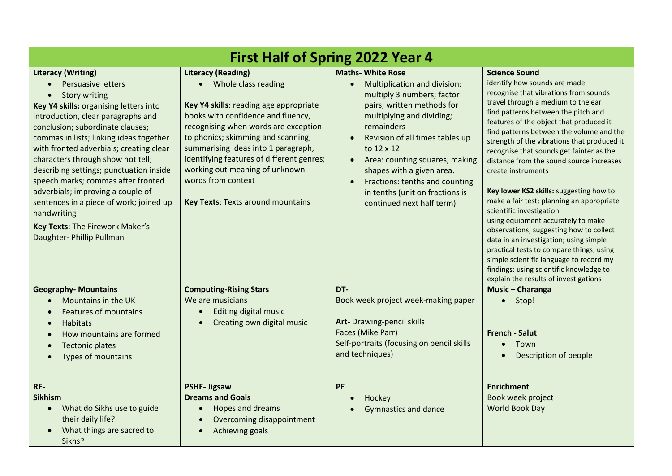| <b>First Half of Spring 2022 Year 4</b>                                                                                                                                                                                                                                                                                                                                                                                                                                                                                                                                       |                                                                                                                                                                                                                                                                                                                                                                                                          |                                                                                                                                                                                                                                                                                                                                                                                                |                                                                                                                                                                                                                                                                                                                                                                                                                                                                                                                                                                                                                                                                                                                                                                                                                                                          |  |
|-------------------------------------------------------------------------------------------------------------------------------------------------------------------------------------------------------------------------------------------------------------------------------------------------------------------------------------------------------------------------------------------------------------------------------------------------------------------------------------------------------------------------------------------------------------------------------|----------------------------------------------------------------------------------------------------------------------------------------------------------------------------------------------------------------------------------------------------------------------------------------------------------------------------------------------------------------------------------------------------------|------------------------------------------------------------------------------------------------------------------------------------------------------------------------------------------------------------------------------------------------------------------------------------------------------------------------------------------------------------------------------------------------|----------------------------------------------------------------------------------------------------------------------------------------------------------------------------------------------------------------------------------------------------------------------------------------------------------------------------------------------------------------------------------------------------------------------------------------------------------------------------------------------------------------------------------------------------------------------------------------------------------------------------------------------------------------------------------------------------------------------------------------------------------------------------------------------------------------------------------------------------------|--|
| <b>Literacy (Writing)</b><br>Persuasive letters<br><b>Story writing</b><br>Key Y4 skills: organising letters into<br>introduction, clear paragraphs and<br>conclusion; subordinate clauses;<br>commas in lists; linking ideas together<br>with fronted adverbials; creating clear<br>characters through show not tell;<br>describing settings; punctuation inside<br>speech marks; commas after fronted<br>adverbials; improving a couple of<br>sentences in a piece of work; joined up<br>handwriting<br><b>Key Texts: The Firework Maker's</b><br>Daughter- Phillip Pullman | <b>Literacy (Reading)</b><br>• Whole class reading<br>Key Y4 skills: reading age appropriate<br>books with confidence and fluency,<br>recognising when words are exception<br>to phonics; skimming and scanning;<br>summarising ideas into 1 paragraph,<br>identifying features of different genres;<br>working out meaning of unknown<br>words from context<br><b>Key Texts: Texts around mountains</b> | <b>Maths- White Rose</b><br>Multiplication and division:<br>$\bullet$<br>multiply 3 numbers; factor<br>pairs; written methods for<br>multiplying and dividing;<br>remainders<br>Revision of all times tables up<br>to 12 x 12<br>Area: counting squares; making<br>shapes with a given area.<br>Fractions: tenths and counting<br>in tenths (unit on fractions is<br>continued next half term) | <b>Science Sound</b><br>identify how sounds are made<br>recognise that vibrations from sounds<br>travel through a medium to the ear<br>find patterns between the pitch and<br>features of the object that produced it<br>find patterns between the volume and the<br>strength of the vibrations that produced it<br>recognise that sounds get fainter as the<br>distance from the sound source increases<br>create instruments<br>Key lower KS2 skills: suggesting how to<br>make a fair test; planning an appropriate<br>scientific investigation<br>using equipment accurately to make<br>observations; suggesting how to collect<br>data in an investigation; using simple<br>practical tests to compare things; using<br>simple scientific language to record my<br>findings: using scientific knowledge to<br>explain the results of investigations |  |
| <b>Geography-Mountains</b><br>Mountains in the UK<br><b>Features of mountains</b><br><b>Habitats</b><br>$\bullet$<br>How mountains are formed<br><b>Tectonic plates</b><br>Types of mountains                                                                                                                                                                                                                                                                                                                                                                                 | <b>Computing-Rising Stars</b><br>We are musicians<br>Editing digital music<br>$\bullet$<br>Creating own digital music                                                                                                                                                                                                                                                                                    | DT-<br>Book week project week-making paper<br>Art- Drawing-pencil skills<br>Faces (Mike Parr)<br>Self-portraits (focusing on pencil skills<br>and techniques)                                                                                                                                                                                                                                  | Music - Charanga<br>Stop!<br>$\bullet$<br><b>French - Salut</b><br>Town<br>$\bullet$<br>Description of people                                                                                                                                                                                                                                                                                                                                                                                                                                                                                                                                                                                                                                                                                                                                            |  |
| RE-<br><b>Sikhism</b><br>What do Sikhs use to guide<br>$\bullet$<br>their daily life?<br>What things are sacred to<br>Sikhs?                                                                                                                                                                                                                                                                                                                                                                                                                                                  | <b>PSHE-Jigsaw</b><br><b>Dreams and Goals</b><br>Hopes and dreams<br>$\bullet$<br>Overcoming disappointment<br>$\bullet$<br>Achieving goals                                                                                                                                                                                                                                                              | <b>PE</b><br>Hockey<br><b>Gymnastics and dance</b>                                                                                                                                                                                                                                                                                                                                             | <b>Enrichment</b><br>Book week project<br>World Book Day                                                                                                                                                                                                                                                                                                                                                                                                                                                                                                                                                                                                                                                                                                                                                                                                 |  |